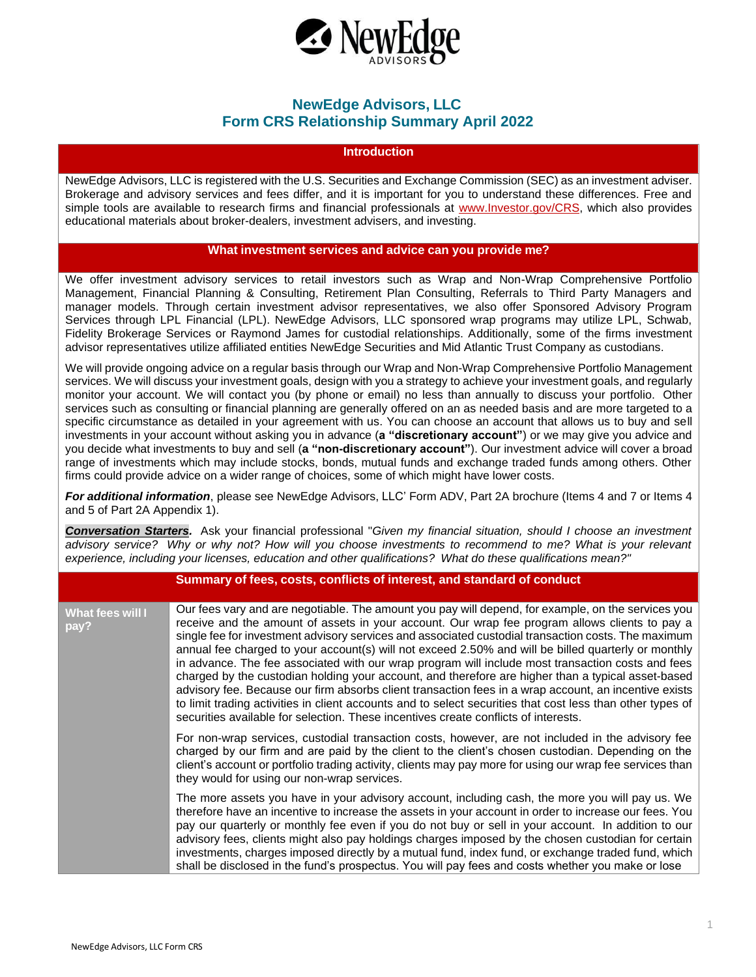

## **NewEdge Advisors, LLC Form CRS Relationship Summary April 2022**

## **Introduction**

NewEdge Advisors, LLC is registered with the U.S. Securities and Exchange Commission (SEC) as an investment adviser. Brokerage and advisory services and fees differ, and it is important for you to understand these differences. Free and simple tools are available to research firms and financial professionals at [www.Investor.gov/CRS, w](http://www.investor.gov/CRS)hich also provides educational materials about broker-dealers, investment advisers, and investing.

## **What investment services and advice can you provide me?**

We offer investment advisory services to retail investors such as Wrap and Non-Wrap Comprehensive Portfolio Management, Financial Planning & Consulting, Retirement Plan Consulting, Referrals to Third Party Managers and manager models. Through certain investment advisor representatives, we also offer Sponsored Advisory Program Services through LPL Financial (LPL). NewEdge Advisors, LLC sponsored wrap programs may utilize LPL, Schwab, Fidelity Brokerage Services or Raymond James for custodial relationships. Additionally, some of the firms investment advisor representatives utilize affiliated entities NewEdge Securities and Mid Atlantic Trust Company as custodians.

We will provide ongoing advice on a regular basis through our Wrap and Non-Wrap Comprehensive Portfolio Management services. We will discuss your investment goals, design with you a strategy to achieve your investment goals, and regularly monitor your account. We will contact you (by phone or email) no less than annually to discuss your portfolio. Other services such as consulting or financial planning are generally offered on an as needed basis and are more targeted to a specific circumstance as detailed in your agreement with us. You can choose an account that allows us to buy and sell investments in your account without asking you in advance (**a "discretionary account"**) or we may give you advice and you decide what investments to buy and sell (**a "non-discretionary account"**). Our investment advice will cover a broad range of investments which may include stocks, bonds, mutual funds and exchange traded funds among others. Other firms could provide advice on a wider range of choices, some of which might have lower costs.

*For additional information*, please see NewEdge Advisors, LLC' Form ADV, Part 2A brochure (Items 4 and 7 or Items 4 and 5 of Part 2A Appendix 1).

*Conversation Starters.* Ask your financial professional "*Given my financial situation, should I choose an investment advisory service? Why or why not? How will you choose investments to recommend to me? What is your relevant experience, including your licenses, education and other qualifications? What do these qualifications mean?"*

|                          | Summary of fees, costs, conflicts of interest, and standard of conduct                                                                                                                                                                                                                                                                                                                                                                                                                                                                                                                                                                                                                                                                                                                                                                                                                                                                      |
|--------------------------|---------------------------------------------------------------------------------------------------------------------------------------------------------------------------------------------------------------------------------------------------------------------------------------------------------------------------------------------------------------------------------------------------------------------------------------------------------------------------------------------------------------------------------------------------------------------------------------------------------------------------------------------------------------------------------------------------------------------------------------------------------------------------------------------------------------------------------------------------------------------------------------------------------------------------------------------|
| What fees will I<br>pay? | Our fees vary and are negotiable. The amount you pay will depend, for example, on the services you<br>receive and the amount of assets in your account. Our wrap fee program allows clients to pay a<br>single fee for investment advisory services and associated custodial transaction costs. The maximum<br>annual fee charged to your account(s) will not exceed 2.50% and will be billed quarterly or monthly<br>in advance. The fee associated with our wrap program will include most transaction costs and fees<br>charged by the custodian holding your account, and therefore are higher than a typical asset-based<br>advisory fee. Because our firm absorbs client transaction fees in a wrap account, an incentive exists<br>to limit trading activities in client accounts and to select securities that cost less than other types of<br>securities available for selection. These incentives create conflicts of interests. |
|                          | For non-wrap services, custodial transaction costs, however, are not included in the advisory fee<br>charged by our firm and are paid by the client to the client's chosen custodian. Depending on the<br>client's account or portfolio trading activity, clients may pay more for using our wrap fee services than<br>they would for using our non-wrap services.                                                                                                                                                                                                                                                                                                                                                                                                                                                                                                                                                                          |
|                          | The more assets you have in your advisory account, including cash, the more you will pay us. We<br>therefore have an incentive to increase the assets in your account in order to increase our fees. You<br>pay our quarterly or monthly fee even if you do not buy or sell in your account. In addition to our<br>advisory fees, clients might also pay holdings charges imposed by the chosen custodian for certain<br>investments, charges imposed directly by a mutual fund, index fund, or exchange traded fund, which<br>shall be disclosed in the fund's prospectus. You will pay fees and costs whether you make or lose                                                                                                                                                                                                                                                                                                            |